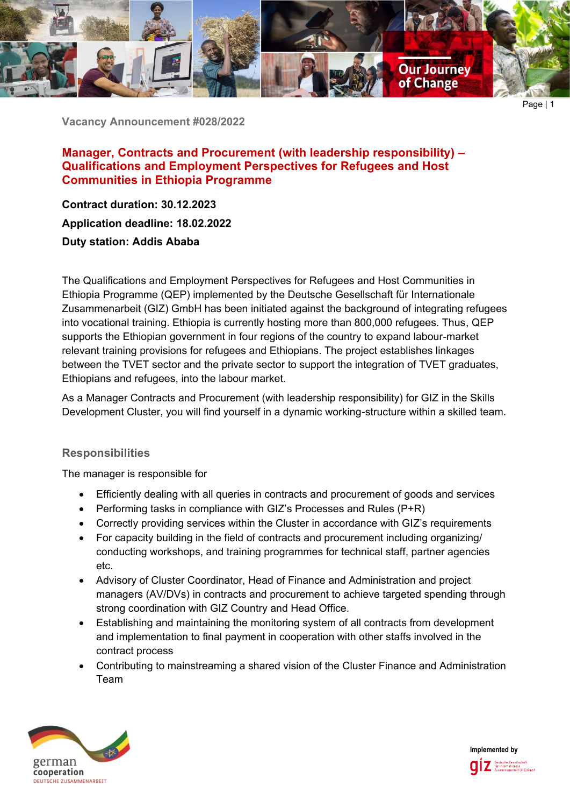

**Vacancy Announcement #028/2022**

**Manager, Contracts and Procurement (with leadership responsibility) – Qualifications and Employment Perspectives for Refugees and Host Communities in Ethiopia Programme**

**Contract duration: 30.12.2023 Application deadline: 18.02.2022 Duty station: Addis Ababa**

The Qualifications and Employment Perspectives for Refugees and Host Communities in Ethiopia Programme (QEP) implemented by the Deutsche Gesellschaft für Internationale Zusammenarbeit (GIZ) GmbH has been initiated against the background of integrating refugees into vocational training. Ethiopia is currently hosting more than 800,000 refugees. Thus, QEP supports the Ethiopian government in four regions of the country to expand labour-market relevant training provisions for refugees and Ethiopians. The project establishes linkages between the TVET sector and the private sector to support the integration of TVET graduates, Ethiopians and refugees, into the labour market.

As a Manager Contracts and Procurement (with leadership responsibility) for GIZ in the Skills Development Cluster, you will find yourself in a dynamic working-structure within a skilled team.

# **Responsibilities**

The manager is responsible for

- Efficiently dealing with all queries in contracts and procurement of goods and services
- Performing tasks in compliance with GIZ's Processes and Rules (P+R)
- Correctly providing services within the Cluster in accordance with GIZ's requirements
- For capacity building in the field of contracts and procurement including organizing/ conducting workshops, and training programmes for technical staff, partner agencies etc.
- Advisory of Cluster Coordinator, Head of Finance and Administration and project managers (AV/DVs) in contracts and procurement to achieve targeted spending through strong coordination with GIZ Country and Head Office.
- Establishing and maintaining the monitoring system of all contracts from development and implementation to final payment in cooperation with other staffs involved in the contract process
- Contributing to mainstreaming a shared vision of the Cluster Finance and Administration Team



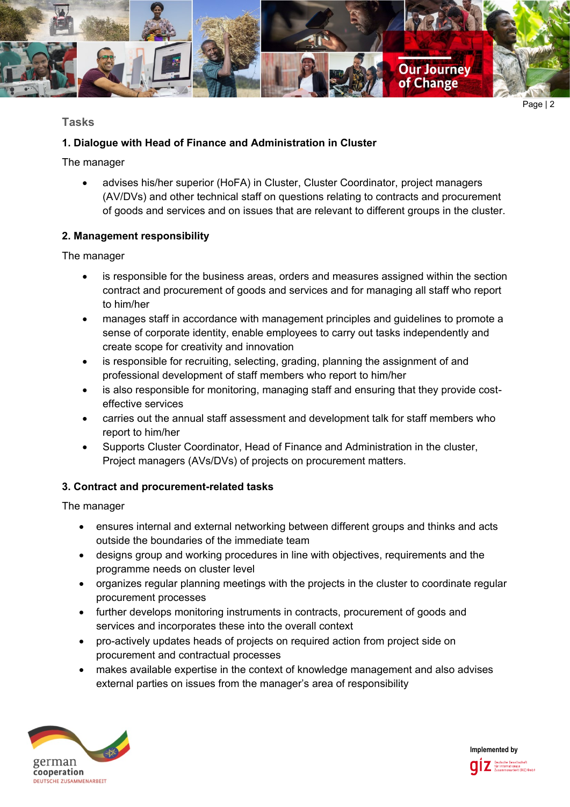

# **Tasks**

## **1. Dialogue with Head of Finance and Administration in Cluster**

The manager

• advises his/her superior (HoFA) in Cluster, Cluster Coordinator, project managers (AV/DVs) and other technical staff on questions relating to contracts and procurement of goods and services and on issues that are relevant to different groups in the cluster.

## **2. Management responsibility**

The manager

- is responsible for the business areas, orders and measures assigned within the section contract and procurement of goods and services and for managing all staff who report to him/her
- manages staff in accordance with management principles and guidelines to promote a sense of corporate identity, enable employees to carry out tasks independently and create scope for creativity and innovation
- is responsible for recruiting, selecting, grading, planning the assignment of and professional development of staff members who report to him/her
- is also responsible for monitoring, managing staff and ensuring that they provide costeffective services
- carries out the annual staff assessment and development talk for staff members who report to him/her
- Supports Cluster Coordinator, Head of Finance and Administration in the cluster, Project managers (AVs/DVs) of projects on procurement matters.

# **3. Contract and procurement-related tasks**

The manager

- ensures internal and external networking between different groups and thinks and acts outside the boundaries of the immediate team
- designs group and working procedures in line with objectives, requirements and the programme needs on cluster level
- organizes regular planning meetings with the projects in the cluster to coordinate regular procurement processes
- further develops monitoring instruments in contracts, procurement of goods and services and incorporates these into the overall context
- pro-actively updates heads of projects on required action from project side on procurement and contractual processes
- makes available expertise in the context of knowledge management and also advises external parties on issues from the manager's area of responsibility



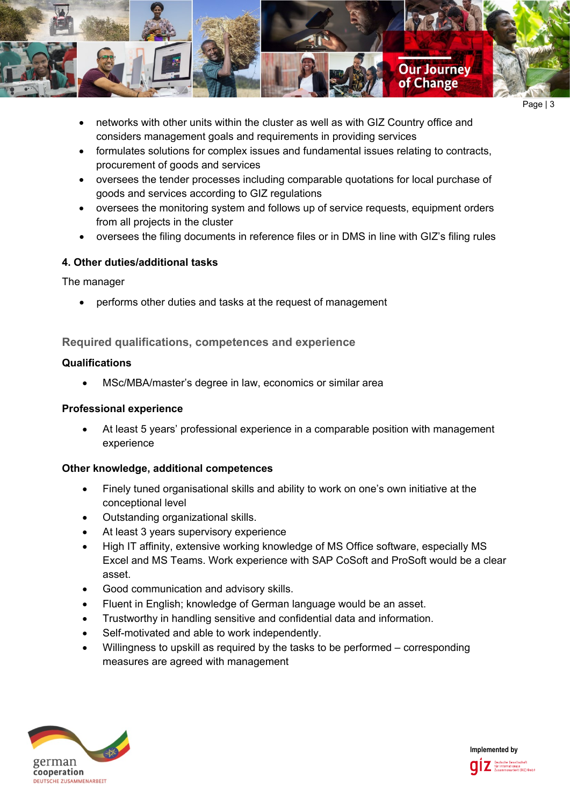

- networks with other units within the cluster as well as with GIZ Country office and considers management goals and requirements in providing services
- formulates solutions for complex issues and fundamental issues relating to contracts, procurement of goods and services
- oversees the tender processes including comparable quotations for local purchase of goods and services according to GIZ regulations
- oversees the monitoring system and follows up of service requests, equipment orders from all projects in the cluster
- oversees the filing documents in reference files or in DMS in line with GIZ's filing rules

## **4. Other duties/additional tasks**

The manager

• performs other duties and tasks at the request of management

# **Required qualifications, competences and experience**

### **Qualifications**

• MSc/MBA/master's degree in law, economics or similar area

### **Professional experience**

• At least 5 years' professional experience in a comparable position with management experience

### **Other knowledge, additional competences**

- Finely tuned organisational skills and ability to work on one's own initiative at the conceptional level
- Outstanding organizational skills.
- At least 3 years supervisory experience
- High IT affinity, extensive working knowledge of MS Office software, especially MS Excel and MS Teams. Work experience with SAP CoSoft and ProSoft would be a clear asset.
- Good communication and advisory skills.
- Fluent in English; knowledge of German language would be an asset.
- Trustworthy in handling sensitive and confidential data and information.
- Self-motivated and able to work independently.
- Willingness to upskill as required by the tasks to be performed corresponding measures are agreed with management